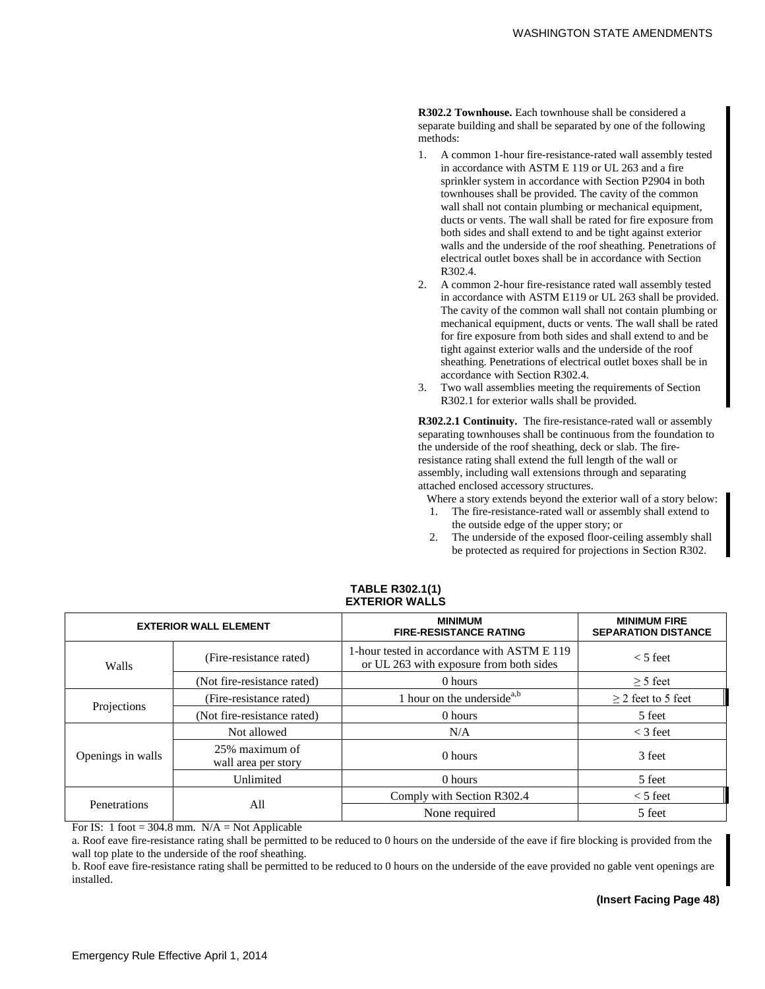**R302.2 Townhouse.** Each townhouse shall be considered a separate building and shall be separated by one of the following methods:

- 1. A common 1-hour fire-resistance-rated wall assembly tested in accordance with ASTM E 119 or UL 263 and a fire sprinkler system in accordance with Section P2904 in both townhouses shall be provided. The cavity of the common wall shall not contain plumbing or mechanical equipment, ducts or vents. The wall shall be rated for fire exposure from both sides and shall extend to and be tight against exterior walls and the underside of the roof sheathing. Penetrations of electrical outlet boxes shall be in accordance with Section R302.4.
- 2. A common 2-hour fire-resistance rated wall assembly tested in accordance with ASTM E119 or UL 263 shall be provided. The cavity of the common wall shall not contain plumbing or mechanical equipment, ducts or vents. The wall shall be rated for fire exposure from both sides and shall extend to and be tight against exterior walls and the underside of the roof sheathing. Penetrations of electrical outlet boxes shall be in accordance with Section R302.4.
- 3. Two wall assemblies meeting the requirements of Section R302.1 for exterior walls shall be provided.

**R302.2.1 Continuity.** The fire-resistance-rated wall or assembly separating townhouses shall be continuous from the foundation to the underside of the roof sheathing, deck or slab. The fireresistance rating shall extend the full length of the wall or assembly, including wall extensions through and separating attached enclosed accessory structures.

Where a story extends beyond the exterior wall of a story below:

- 1. The fire-resistance-rated wall or assembly shall extend to the outside edge of the upper story; or
- 2. The underside of the exposed floor-ceiling assembly shall be protected as required for projections in Section R302.

| <b>EXTERIOR WALL ELEMENT</b> |                                       | <b>MINIMUM</b><br><b>FIRE-RESISTANCE RATING</b>                                        | <b>MINIMUM FIRE</b><br><b>SEPARATION DISTANCE</b> |
|------------------------------|---------------------------------------|----------------------------------------------------------------------------------------|---------------------------------------------------|
| Walls                        | (Fire-resistance rated)               | 1-hour tested in accordance with ASTM E 119<br>or UL 263 with exposure from both sides | $<$ 5 feet                                        |
|                              | (Not fire-resistance rated)           | 0 hours                                                                                | $\geq$ 5 feet                                     |
| Projections                  | (Fire-resistance rated)               | 1 hour on the underside <sup>a,b</sup>                                                 | $\geq$ 2 feet to 5 feet                           |
|                              | (Not fire-resistance rated)           | 0 hours                                                                                | 5 feet                                            |
| Openings in walls            | Not allowed                           | N/A                                                                                    | $<$ 3 feet                                        |
|                              | 25% maximum of<br>wall area per story | 0 hours                                                                                | 3 feet                                            |
|                              | Unlimited                             | 0 hours                                                                                | 5 feet                                            |
| Penetrations                 | All                                   | Comply with Section R302.4                                                             | $<$ 5 feet                                        |
|                              |                                       | None required                                                                          | 5 feet                                            |

#### **TABLE R302.1(1) EXTERIOR WALLS**

For IS: 1 foot = 304.8 mm.  $N/A = Not$  Applicable

a. Roof eave fire-resistance rating shall be permitted to be reduced to 0 hours on the underside of the eave if fire blocking is provided from the wall top plate to the underside of the roof sheathing.

b. Roof eave fire-resistance rating shall be permitted to be reduced to 0 hours on the underside of the eave provided no gable vent openings are installed.

# **(Insert Facing Page 48)**